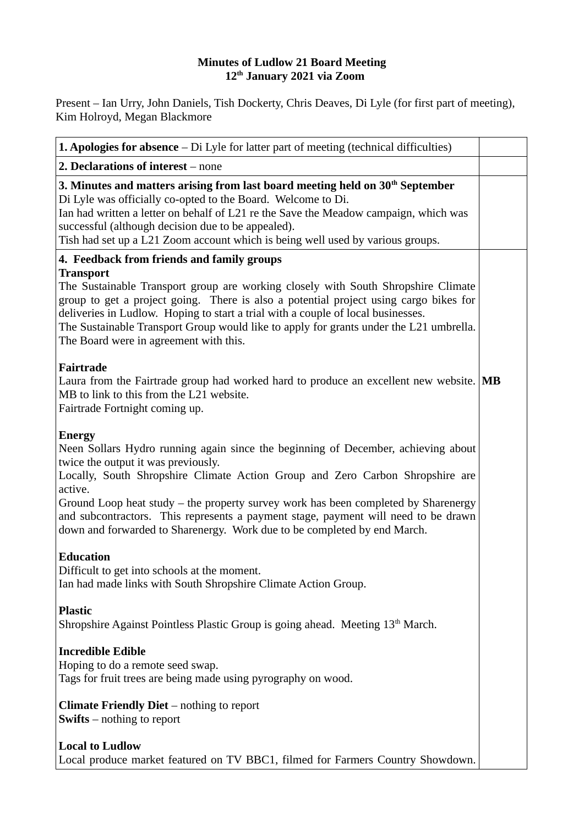## **Minutes of Ludlow 21 Board Meeting 12th January 2021 via Zoom**

Present – Ian Urry, John Daniels, Tish Dockerty, Chris Deaves, Di Lyle (for first part of meeting), Kim Holroyd, Megan Blackmore

| <b>1. Apologies for absence</b> - Di Lyle for latter part of meeting (technical difficulties)                                                                                                                                                                                                                                                                                                                                                                                                 |  |
|-----------------------------------------------------------------------------------------------------------------------------------------------------------------------------------------------------------------------------------------------------------------------------------------------------------------------------------------------------------------------------------------------------------------------------------------------------------------------------------------------|--|
| 2. Declarations of interest - none                                                                                                                                                                                                                                                                                                                                                                                                                                                            |  |
| 3. Minutes and matters arising from last board meeting held on 30 <sup>th</sup> September<br>Di Lyle was officially co-opted to the Board. Welcome to Di.<br>Ian had written a letter on behalf of L21 re the Save the Meadow campaign, which was<br>successful (although decision due to be appealed).<br>Tish had set up a L21 Zoom account which is being well used by various groups.                                                                                                     |  |
| 4. Feedback from friends and family groups                                                                                                                                                                                                                                                                                                                                                                                                                                                    |  |
| Transport<br>The Sustainable Transport group are working closely with South Shropshire Climate<br>group to get a project going. There is also a potential project using cargo bikes for<br>deliveries in Ludlow. Hoping to start a trial with a couple of local businesses.<br>The Sustainable Transport Group would like to apply for grants under the L21 umbrella.<br>The Board were in agreement with this.                                                                               |  |
| Fairtrade<br>Laura from the Fairtrade group had worked hard to produce an excellent new website. MB<br>MB to link to this from the L21 website.<br>Fairtrade Fortnight coming up.                                                                                                                                                                                                                                                                                                             |  |
| <b>Energy</b><br>Neen Sollars Hydro running again since the beginning of December, achieving about<br>twice the output it was previously.<br>Locally, South Shropshire Climate Action Group and Zero Carbon Shropshire are<br>active.<br>Ground Loop heat study - the property survey work has been completed by Sharenergy<br>and subcontractors. This represents a payment stage, payment will need to be drawn<br>down and forwarded to Sharenergy. Work due to be completed by end March. |  |
| <b>Education</b><br>Difficult to get into schools at the moment.<br>Ian had made links with South Shropshire Climate Action Group.                                                                                                                                                                                                                                                                                                                                                            |  |
| <b>Plastic</b><br>Shropshire Against Pointless Plastic Group is going ahead. Meeting 13 <sup>th</sup> March.                                                                                                                                                                                                                                                                                                                                                                                  |  |
| <b>Incredible Edible</b><br>Hoping to do a remote seed swap.<br>Tags for fruit trees are being made using pyrography on wood.                                                                                                                                                                                                                                                                                                                                                                 |  |
| <b>Climate Friendly Diet</b> – nothing to report<br><b>Swifts</b> $-$ nothing to report                                                                                                                                                                                                                                                                                                                                                                                                       |  |
| <b>Local to Ludlow</b><br>Local produce market featured on TV BBC1, filmed for Farmers Country Showdown.                                                                                                                                                                                                                                                                                                                                                                                      |  |